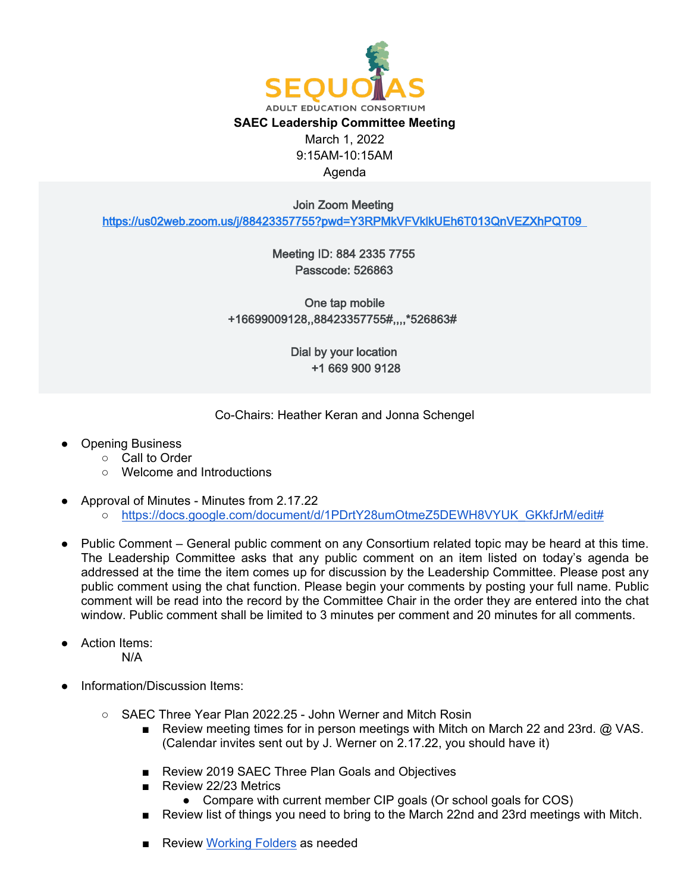

Join Zoom Meeting

<https://us02web.zoom.us/j/88423357755?pwd=Y3RPMkVFVklkUEh6T013QnVEZXhPQT09>

Meeting ID: 884 2335 7755 Passcode: 526863

One tap mobile +16699009128,,88423357755#,,,,\*526863#

> Dial by your location +1 669 900 9128

Co-Chairs: Heather Keran and Jonna Schengel

- **Opening Business** 
	- Call to Order
	- Welcome and Introductions
- Approval of Minutes Minutes from 2.17.22
	- o [https://docs.google.com/document/d/1PDrtY28umOtmeZ5DEWH8VYUK\\_GKkfJrM/edit#](https://docs.google.com/document/d/1PDrtY28umOtmeZ5DEWH8VYUK_GKkfJrM/edit)
- Public Comment General public comment on any Consortium related topic may be heard at this time. The Leadership Committee asks that any public comment on an item listed on today's agenda be addressed at the time the item comes up for discussion by the Leadership Committee. Please post any public comment using the chat function. Please begin your comments by posting your full name. Public comment will be read into the record by the Committee Chair in the order they are entered into the chat window. Public comment shall be limited to 3 minutes per comment and 20 minutes for all comments.
- **Action Items:** N/A
- Information/Discussion Items:
	- SAEC Three Year Plan 2022.25 John Werner and Mitch Rosin
		- Review meeting times for in person meetings with Mitch on March 22 and 23rd. @ VAS. (Calendar invites sent out by J. Werner on 2.17.22, you should have it)
		- Review 2019 SAEC Three Plan Goals and Objectives
		- Review 22/23 Metrics
			- Compare with current member CIP goals (Or school goals for COS)
		- Review list of things you need to bring to the March 22nd and 23rd meetings with Mitch.
		- Review [Working Folders](https://drive.google.com/drive/folders/1yRhN9fHvgbCqesNxcQiMn3iPDu7nmMR6?usp=sharing) as needed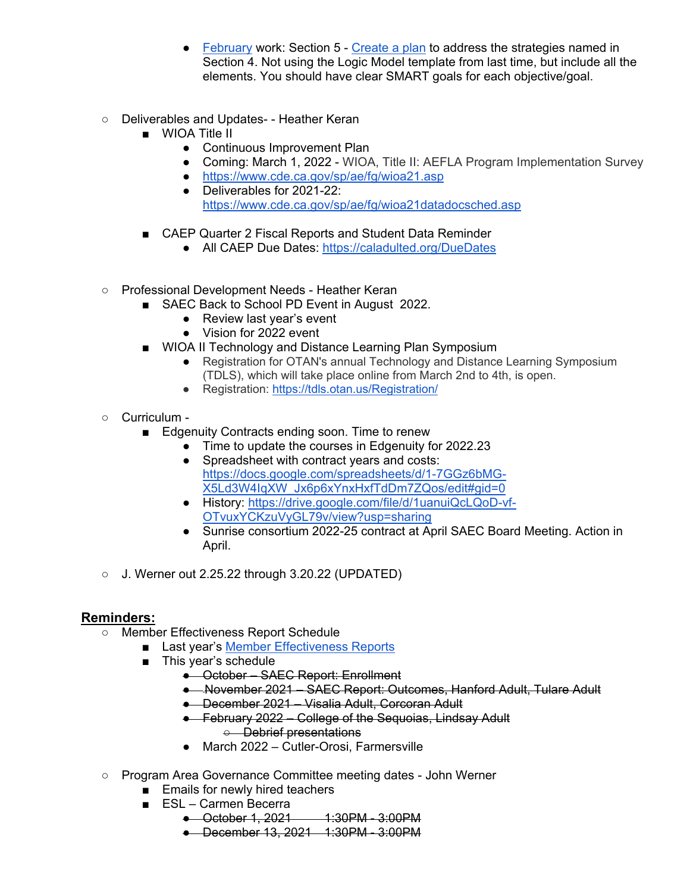- [February](https://drive.google.com/drive/folders/1XjXAyejVFCZkC1KGnfDNfjZQF943nvzW?usp=sharing) work: Section 5 [Create a plan](https://docs.google.com/document/d/1xUWGCa8rAPrY-PiOG3HXPJ9N57SjRrgx2OmlHAwjkfY/edit) to address the strategies named in Section 4. Not using the Logic Model template from last time, but include all the elements. You should have clear SMART goals for each objective/goal.
- Deliverables and Updates- Heather Keran
	- WIOA Title II
		- Continuous Improvement Plan
		- Coming: March 1, 2022 WIOA, Title II: AEFLA Program Implementation Survey
		- <https://www.cde.ca.gov/sp/ae/fg/wioa21.asp>
		- Deliverables for 2021-22: <https://www.cde.ca.gov/sp/ae/fg/wioa21datadocsched.asp>
	- CAEP Quarter 2 Fiscal Reports and Student Data Reminder
		- All CAEP Due Dates:<https://caladulted.org/DueDates>
- Professional Development Needs Heather Keran
	- SAEC Back to School PD Event in August 2022.
		- Review last year's event
		- Vision for 2022 event
	- WIOA II Technology and Distance Learning Plan Symposium
		- Registration for OTAN's annual Technology and Distance Learning Symposium (TDLS), which will take place online from March 2nd to 4th, is open.
		- Registration:<https://tdls.otan.us/Registration/>
- Curriculum
	- Edgenuity Contracts ending soon. Time to renew
		- Time to update the courses in Edgenuity for 2022.23
			- Spreadsheet with contract years and costs: [https://docs.google.com/spreadsheets/d/1-7GGz6bMG-](https://docs.google.com/spreadsheets/d/1-7GGz6bMG-X5Ld3W4IqXW_Jx6p6xYnxHxfTdDm7ZQos/edit#gid=0)[X5Ld3W4IqXW\\_Jx6p6xYnxHxfTdDm7ZQos/edit#gid=0](https://docs.google.com/spreadsheets/d/1-7GGz6bMG-X5Ld3W4IqXW_Jx6p6xYnxHxfTdDm7ZQos/edit#gid=0)
			- History: [https://drive.google.com/file/d/1uanuiQcLQoD-vf-](https://drive.google.com/file/d/1uanuiQcLQoD-vf-OTvuxYCKzuVyGL79v/view?usp=sharing)[OTvuxYCKzuVyGL79v/view?usp=sharing](https://drive.google.com/file/d/1uanuiQcLQoD-vf-OTvuxYCKzuVyGL79v/view?usp=sharing)
			- Sunrise consortium 2022-25 contract at April SAEC Board Meeting. Action in April.
- $\circ$  J. Werner out 2.25.22 through 3.20.22 (UPDATED)

## **Reminders:**

- Member Effectiveness Report Schedule
	- Last year's [Member Effectiveness Reports](https://drive.google.com/drive/u/0/folders/1wr841k1LQIABFWmsMyaR_LOYhaj7fTjV)
		- This year's schedule
			- October SAEC Report: Enrollment
			- November 2021 SAEC Report: Outcomes, Hanford Adult, Tulare Adult
			- December 2021 Visalia Adult, Corcoran Adult
			- February 2022 College of the Sequoias, Lindsay Adult ○ Debrief presentations
			- March 2022 Cutler-Orosi, Farmersville
- Program Area Governance Committee meeting dates John Werner
	- Emails for newly hired teachers
	- ESL Carmen Becerra
		- October 1, 2021 1:30PM 3:00PM
			- December 13, 2021 1:30PM 3:00PM